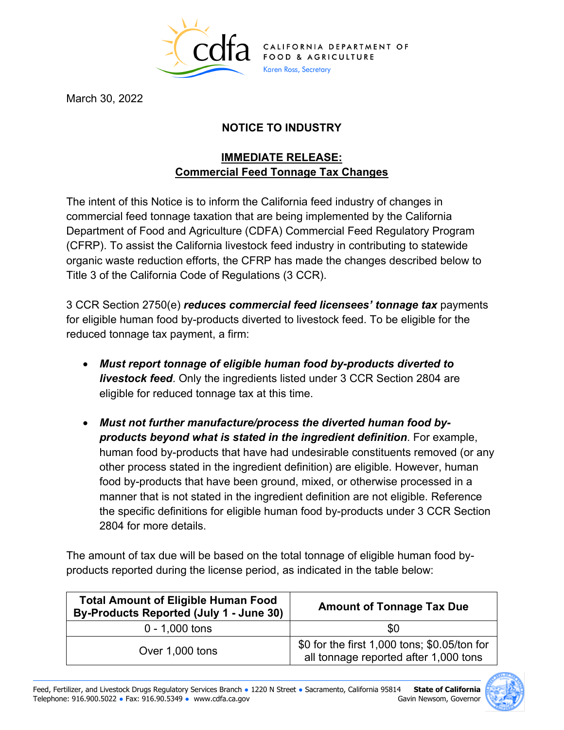

March 30, 2022

## **NOTICE TO INDUSTRY**

## **IMMEDIATE RELEASE: Commercial Feed Tonnage Tax Changes**

The intent of this Notice is to inform the California feed industry of changes in commercial feed tonnage taxation that are being implemented by the California Department of Food and Agriculture (CDFA) Commercial Feed Regulatory Program (CFRP). To assist the California livestock feed industry in contributing to statewide organic waste reduction efforts, the CFRP has made the changes described below to Title 3 of the California Code of Regulations (3 CCR).

3 CCR Section 2750(e) *reduces commercial feed licensees' tonnage tax* payments for eligible human food by-products diverted to livestock feed. To be eligible for the reduced tonnage tax payment, a firm:

- *Must report tonnage of eligible human food by-products diverted to livestock feed*. Only the ingredients listed under 3 CCR Section 2804 are eligible for reduced tonnage tax at this time.
- *products beyond what is stated in the ingredient definition*. For example, human food by-products that have had undesirable constituents removed (or any • *Must not further manufacture/process the diverted human food by*other process stated in the ingredient definition) are eligible. However, human food by-products that have been ground, mixed, or otherwise processed in a manner that is not stated in the ingredient definition are not eligible. Reference the specific definitions for eligible human food by-products under 3 CCR Section 2804 for more details.

 products reported during the license period, as indicated in the table below: The amount of tax due will be based on the total tonnage of eligible human food by-

| <b>Total Amount of Eligible Human Food</b><br>By-Products Reported (July 1 - June 30) | <b>Amount of Tonnage Tax Due</b>                                                      |
|---------------------------------------------------------------------------------------|---------------------------------------------------------------------------------------|
| $0 - 1,000$ tons                                                                      | \$0                                                                                   |
| Over 1,000 tons                                                                       | \$0 for the first 1,000 tons; \$0.05/ton for<br>all tonnage reported after 1,000 tons |